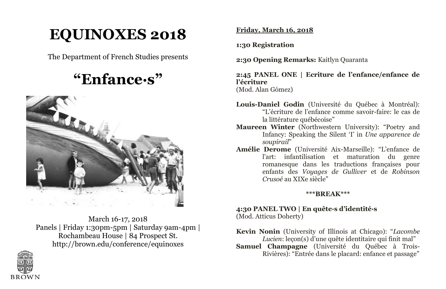# **EQUINOXES 2018**

The Department of French Studies presents

# **"Enfance·s"**



March 16-17, 2018 Panels | Friday 1:30pm-5pm | Saturday 9am-4pm | Rochambeau House | 84 Prospect St. http://brown.edu/conference/equinoxes



**Friday, March 16, 2018** 

**1:30 Registration** 

**2:30 Opening Remarks:** Kaitlyn Quaranta

**2:45 PANEL ONE | Ecriture de l'enfance/enfance de l'écriture**  (Mod. Alan Gómez)

**Louis-Daniel Godin** (Université du Québec à Montréal): "L'écriture de l'enfance comme savoir-faire: le cas de la littérature québécoise"

- **Maureen Winter** (Northwestern University): "Poetry and Infancy: Speaking the Silent 'I' in *Une apparence de soupirail*"
- **Amélie Derome** (Université Aix-Marseille): "L'enfance de l'art: infantilisation et maturation du genre romanesque dans les traductions françaises pour enfants des *Voyages de Gulliver* et de *Robinson Crusoé* au XIXe siècle"

# **\*\*\*BREAK\*\*\***

### **4:30 PANEL TWO | En quête·s d'identité·s** (Mod. Atticus Doherty)

**Kevin Nonin** (University of Illinois at Chicago): "*Lacombe Lucien*: leçon(s) d'une quête identitaire qui finit mal"

**Samuel Champagne** (Université du Québec à Trois-Rivières): "Entrée dans le placard: enfance et passage"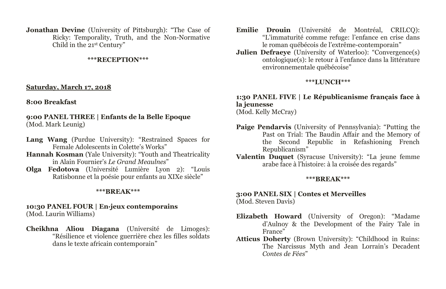**Jonathan Devine** (University of Pittsburgh): "The Case of Ricky: Temporality, Truth, and the Non-Normative Child in the 21st Century"

#### **\*\*\*RECEPTION\*\*\***

#### **Saturday, March 17, 2018**

#### **8:00 Breakfast**

**9:00 PANEL THREE | Enfants de la Belle Epoque** (Mod. Mark Leunig)

- **Lang Wang** (Purdue University): "Restrained Spaces for Female Adolescents in Colette's Works"
- **Hannah Kosman** (Yale University): "Youth and Theatricality in Alain Fournier's *Le Grand Meaulnes*"
- **Olga Fedotova** (Université Lumière Lyon 2): "Louis Ratisbonne et la poésie pour enfants au XIXe siècle"

#### **\*\*\*BREAK\*\*\***

#### **10:30 PANEL FOUR | En·jeux contemporains** (Mod. Laurin Williams)

**Cheikhna Aliou Diagana** (Université de Limoges): "Résilience et violence guerrière chez les filles soldats dans le texte africain contemporain"

- **Emilie Drouin** (Université de Montréal, CRILCQ): "L'immaturité comme refuge: l'enfance en crise dans le roman québécois de l'extrême-contemporain"
- **Julien Defraeye** (University of Waterloo): "Convergence(s) ontologique(s): le retour à l'enfance dans la littérature environnementale québécoise"

#### **\*\*\*LUNCH\*\*\***

# **1:30 PANEL FIVE | Le Républicanisme français face à la jeunesse**

(Mod. Kelly McCray)

- **Paige Pendarvis** (University of Pennsylvania): "Putting the Past on Trial: The Baudin Affair and the Memory of the Second Republic in Refashioning French Republicanism"
- **Valentin Duquet** (Syracuse University): "La jeune femme arabe face à l'histoire: à la croisée des regards"

#### **\*\*\*BREAK\*\*\***

# **3:00 PANEL SIX | Contes et Merveilles**

(Mod. Steven Davis)

- **Elizabeth Howard** (University of Oregon): "Madame d'Aulnoy & the Development of the Fairy Tale in France"
- **Atticus Doherty** (Brown University): "Childhood in Ruins: The Narcissus Myth and Jean Lorrain's Decadent *Contes de Fées*"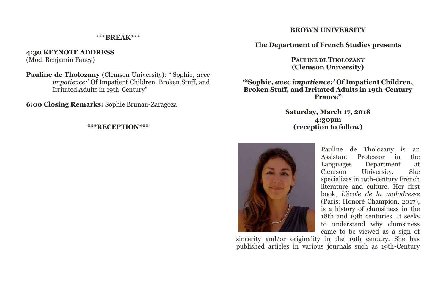#### **\*\*\*BREAK\*\*\***

**4:30 KEYNOTE ADDRESS**  (Mod. Benjamin Fancy)

**Pauline de Tholozany** (Clemson University): "'Sophie, *avec impatience:'* Of Impatient Children, Broken Stuff, and Irritated Adults in 19th-Century"

**6:00 Closing Remarks:** Sophie Brunau-Zaragoza

#### **\*\*\*RECEPTION\*\*\***

#### **BROWN UNIVERSITY**

**The Department of French Studies presents**

**PAULINE DE THOLOZANY (Clemson University)**

**"'Sophie,** *avec impatience:'* **Of Impatient Children, Broken Stuff, and Irritated Adults in 19th-Century France"**

> **Saturday, March 17, 2018 4:30pm (reception to follow)**



Pauline de Tholozany is an Assistant Professor in the Languages Department at University. specializes in 19th-century French literature and culture. Her first book, *L'école de la maladresse* (Paris: Honoré Champion, 2017), is a history of clumsiness in the 18th and 19th centuries. It seeks to understand why clumsiness came to be viewed as a sign of

sincerity and/or originality in the 19th century. She has published articles in various journals such as 19th-Century